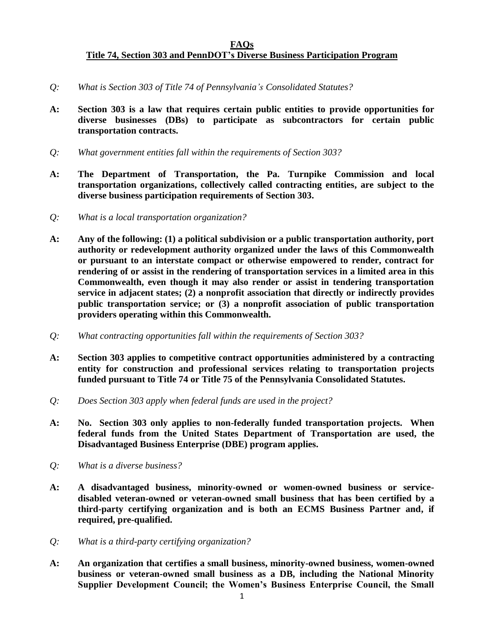## **FAQs Title 74, Section 303 and PennDOT's Diverse Business Participation Program**

- *Q: What is Section 303 of Title 74 of Pennsylvania's Consolidated Statutes?*
- **A: Section 303 is a law that requires certain public entities to provide opportunities for diverse businesses (DBs) to participate as subcontractors for certain public transportation contracts.**
- *Q: What government entities fall within the requirements of Section 303?*
- **A: The Department of Transportation, the Pa. Turnpike Commission and local transportation organizations, collectively called contracting entities, are subject to the diverse business participation requirements of Section 303.**
- *Q: What is a local transportation organization?*
- **A: Any of the following: (1) a political subdivision or a public transportation authority, port authority or redevelopment authority organized under the laws of this Commonwealth or pursuant to an interstate compact or otherwise empowered to render, contract for rendering of or assist in the rendering of transportation services in a limited area in this Commonwealth, even though it may also render or assist in tendering transportation service in adjacent states; (2) a nonprofit association that directly or indirectly provides public transportation service; or (3) a nonprofit association of public transportation providers operating within this Commonwealth.**
- *Q: What contracting opportunities fall within the requirements of Section 303?*
- **A: Section 303 applies to competitive contract opportunities administered by a contracting entity for construction and professional services relating to transportation projects funded pursuant to Title 74 or Title 75 of the Pennsylvania Consolidated Statutes.**
- *Q: Does Section 303 apply when federal funds are used in the project?*
- **A: No. Section 303 only applies to non-federally funded transportation projects. When federal funds from the United States Department of Transportation are used, the Disadvantaged Business Enterprise (DBE) program applies.**
- *Q: What is a diverse business?*
- **A: A disadvantaged business, minority-owned or women-owned business or servicedisabled veteran-owned or veteran-owned small business that has been certified by a third-party certifying organization and is both an ECMS Business Partner and, if required, pre-qualified.**
- *Q: What is a third-party certifying organization?*
- **A: An organization that certifies a small business, minority-owned business, women-owned business or veteran-owned small business as a DB, including the National Minority Supplier Development Council; the Women's Business Enterprise Council, the Small**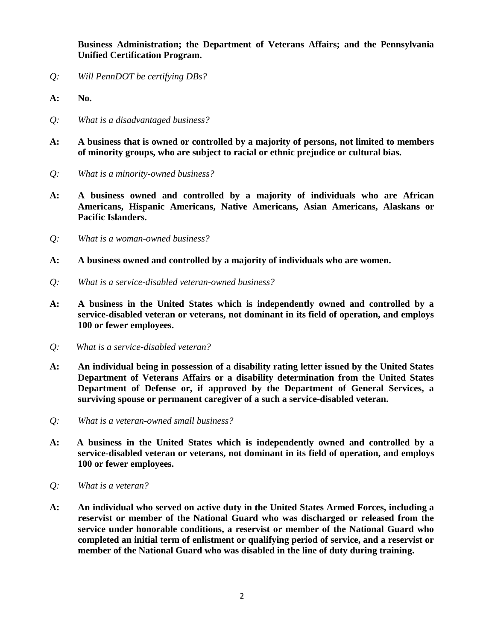**Business Administration; the Department of Veterans Affairs; and the Pennsylvania Unified Certification Program.**

- *Q: Will PennDOT be certifying DBs?*
- **A: No.**
- *Q: What is a disadvantaged business?*
- **A: A business that is owned or controlled by a majority of persons, not limited to members of minority groups, who are subject to racial or ethnic prejudice or cultural bias.**
- *Q: What is a minority-owned business?*
- **A: A business owned and controlled by a majority of individuals who are African Americans, Hispanic Americans, Native Americans, Asian Americans, Alaskans or Pacific Islanders.**
- *Q: What is a woman-owned business?*
- **A: A business owned and controlled by a majority of individuals who are women.**
- *Q: What is a service-disabled veteran-owned business?*
- **A: A business in the United States which is independently owned and controlled by a service-disabled veteran or veterans, not dominant in its field of operation, and employs 100 or fewer employees.**
- *Q: What is a service-disabled veteran?*
- **A: An individual being in possession of a disability rating letter issued by the United States Department of Veterans Affairs or a disability determination from the United States Department of Defense or, if approved by the Department of General Services, a surviving spouse or permanent caregiver of a such a service-disabled veteran.**
- *Q: What is a veteran-owned small business?*
- **A: A business in the United States which is independently owned and controlled by a service-disabled veteran or veterans, not dominant in its field of operation, and employs 100 or fewer employees.**
- *Q: What is a veteran?*
- **A: An individual who served on active duty in the United States Armed Forces, including a reservist or member of the National Guard who was discharged or released from the service under honorable conditions, a reservist or member of the National Guard who completed an initial term of enlistment or qualifying period of service, and a reservist or member of the National Guard who was disabled in the line of duty during training.**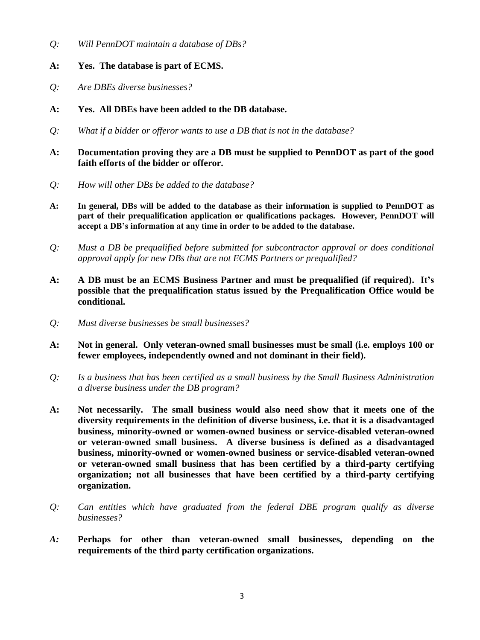- *Q: Will PennDOT maintain a database of DBs?*
- **A: Yes. The database is part of ECMS.**
- *Q: Are DBEs diverse businesses?*
- **A: Yes. All DBEs have been added to the DB database.**
- *Q: What if a bidder or offeror wants to use a DB that is not in the database?*
- **A: Documentation proving they are a DB must be supplied to PennDOT as part of the good faith efforts of the bidder or offeror.**
- *Q: How will other DBs be added to the database?*
- **A: In general, DBs will be added to the database as their information is supplied to PennDOT as part of their prequalification application or qualifications packages. However, PennDOT will accept a DB's information at any time in order to be added to the database.**
- *Q: Must a DB be prequalified before submitted for subcontractor approval or does conditional approval apply for new DBs that are not ECMS Partners or prequalified?*
- **A: A DB must be an ECMS Business Partner and must be prequalified (if required). It's possible that the prequalification status issued by the Prequalification Office would be conditional.**
- *Q: Must diverse businesses be small businesses?*
- **A: Not in general. Only veteran-owned small businesses must be small (i.e. employs 100 or fewer employees, independently owned and not dominant in their field).**
- *Q: Is a business that has been certified as a small business by the Small Business Administration a diverse business under the DB program?*
- **A: Not necessarily. The small business would also need show that it meets one of the diversity requirements in the definition of diverse business, i.e. that it is a disadvantaged business, minority-owned or women-owned business or service-disabled veteran-owned or veteran-owned small business. A diverse business is defined as a disadvantaged business, minority-owned or women-owned business or service-disabled veteran-owned or veteran-owned small business that has been certified by a third-party certifying organization; not all businesses that have been certified by a third-party certifying organization.**
- *Q: Can entities which have graduated from the federal DBE program qualify as diverse businesses?*
- *A:* **Perhaps for other than veteran-owned small businesses, depending on the requirements of the third party certification organizations.**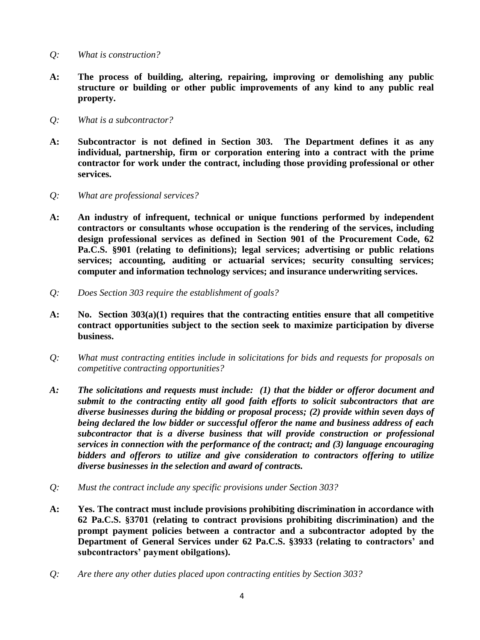- *Q: What is construction?*
- **A: The process of building, altering, repairing, improving or demolishing any public structure or building or other public improvements of any kind to any public real property.**
- *Q: What is a subcontractor?*
- **A: Subcontractor is not defined in Section 303. The Department defines it as any individual, partnership, firm or corporation entering into a contract with the prime contractor for work under the contract, including those providing professional or other services.**
- *Q: What are professional services?*
- **A: An industry of infrequent, technical or unique functions performed by independent contractors or consultants whose occupation is the rendering of the services, including design professional services as defined in Section 901 of the Procurement Code, 62 Pa.C.S. §901 (relating to definitions); legal services; advertising or public relations services; accounting, auditing or actuarial services; security consulting services; computer and information technology services; and insurance underwriting services.**
- *Q: Does Section 303 require the establishment of goals?*
- **A: No. Section 303(a)(1) requires that the contracting entities ensure that all competitive contract opportunities subject to the section seek to maximize participation by diverse business.**
- *Q: What must contracting entities include in solicitations for bids and requests for proposals on competitive contracting opportunities?*
- *A: The solicitations and requests must include: (1) that the bidder or offeror document and submit to the contracting entity all good faith efforts to solicit subcontractors that are diverse businesses during the bidding or proposal process; (2) provide within seven days of being declared the low bidder or successful offeror the name and business address of each subcontractor that is a diverse business that will provide construction or professional services in connection with the performance of the contract; and (3) language encouraging bidders and offerors to utilize and give consideration to contractors offering to utilize diverse businesses in the selection and award of contracts.*
- *Q: Must the contract include any specific provisions under Section 303?*
- **A: Yes. The contract must include provisions prohibiting discrimination in accordance with 62 Pa.C.S. §3701 (relating to contract provisions prohibiting discrimination) and the prompt payment policies between a contractor and a subcontractor adopted by the Department of General Services under 62 Pa.C.S. §3933 (relating to contractors' and subcontractors' payment obilgations).**
- *Q: Are there any other duties placed upon contracting entities by Section 303?*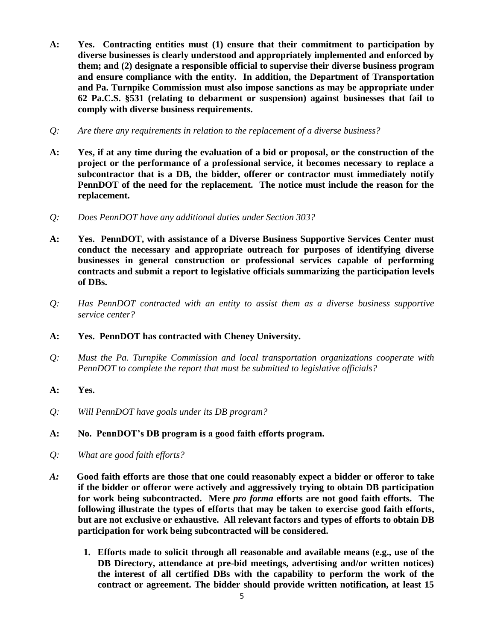- **A: Yes. Contracting entities must (1) ensure that their commitment to participation by diverse businesses is clearly understood and appropriately implemented and enforced by them; and (2) designate a responsible official to supervise their diverse business program and ensure compliance with the entity. In addition, the Department of Transportation and Pa. Turnpike Commission must also impose sanctions as may be appropriate under 62 Pa.C.S. §531 (relating to debarment or suspension) against businesses that fail to comply with diverse business requirements.**
- *Q: Are there any requirements in relation to the replacement of a diverse business?*
- **A: Yes, if at any time during the evaluation of a bid or proposal, or the construction of the project or the performance of a professional service, it becomes necessary to replace a subcontractor that is a DB, the bidder, offerer or contractor must immediately notify PennDOT of the need for the replacement. The notice must include the reason for the replacement.**
- *Q: Does PennDOT have any additional duties under Section 303?*
- **A: Yes. PennDOT, with assistance of a Diverse Business Supportive Services Center must conduct the necessary and appropriate outreach for purposes of identifying diverse businesses in general construction or professional services capable of performing contracts and submit a report to legislative officials summarizing the participation levels of DBs.**
- *Q: Has PennDOT contracted with an entity to assist them as a diverse business supportive service center?*
- **A: Yes. PennDOT has contracted with Cheney University.**
- *Q: Must the Pa. Turnpike Commission and local transportation organizations cooperate with PennDOT to complete the report that must be submitted to legislative officials?*

## **A: Yes.**

- *Q: Will PennDOT have goals under its DB program?*
- **A: No. PennDOT's DB program is a good faith efforts program.**
- *Q: What are good faith efforts?*
- *A:* **Good faith efforts are those that one could reasonably expect a bidder or offeror to take if the bidder or offeror were actively and aggressively trying to obtain DB participation for work being subcontracted. Mere** *pro forma* **efforts are not good faith efforts. The following illustrate the types of efforts that may be taken to exercise good faith efforts, but are not exclusive or exhaustive. All relevant factors and types of efforts to obtain DB participation for work being subcontracted will be considered.** 
	- **1. Efforts made to solicit through all reasonable and available means (e.g., use of the DB Directory, attendance at pre-bid meetings, advertising and/or written notices) the interest of all certified DBs with the capability to perform the work of the contract or agreement. The bidder should provide written notification, at least 15**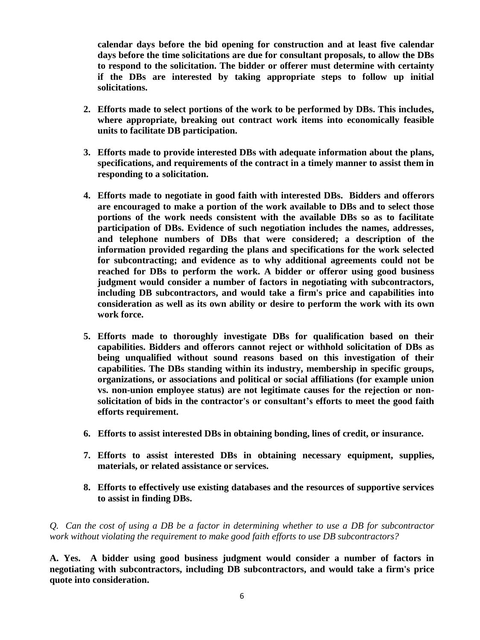**calendar days before the bid opening for construction and at least five calendar days before the time solicitations are due for consultant proposals, to allow the DBs to respond to the solicitation. The bidder or offerer must determine with certainty if the DBs are interested by taking appropriate steps to follow up initial solicitations.**

- **2. Efforts made to select portions of the work to be performed by DBs. This includes, where appropriate, breaking out contract work items into economically feasible units to facilitate DB participation.**
- **3. Efforts made to provide interested DBs with adequate information about the plans, specifications, and requirements of the contract in a timely manner to assist them in responding to a solicitation.**
- **4. Efforts made to negotiate in good faith with interested DBs. Bidders and offerors are encouraged to make a portion of the work available to DBs and to select those portions of the work needs consistent with the available DBs so as to facilitate participation of DBs. Evidence of such negotiation includes the names, addresses, and telephone numbers of DBs that were considered; a description of the information provided regarding the plans and specifications for the work selected for subcontracting; and evidence as to why additional agreements could not be reached for DBs to perform the work. A bidder or offeror using good business judgment would consider a number of factors in negotiating with subcontractors, including DB subcontractors, and would take a firm's price and capabilities into consideration as well as its own ability or desire to perform the work with its own work force.**
- **5. Efforts made to thoroughly investigate DBs for qualification based on their capabilities. Bidders and offerors cannot reject or withhold solicitation of DBs as being unqualified without sound reasons based on this investigation of their capabilities. The DBs standing within its industry, membership in specific groups, organizations, or associations and political or social affiliations (for example union vs. non-union employee status) are not legitimate causes for the rejection or nonsolicitation of bids in the contractor's or consultant's efforts to meet the good faith efforts requirement.**
- **6. Efforts to assist interested DBs in obtaining bonding, lines of credit, or insurance.**
- **7. Efforts to assist interested DBs in obtaining necessary equipment, supplies, materials, or related assistance or services.**
- **8. Efforts to effectively use existing databases and the resources of supportive services to assist in finding DBs.**

*Q. Can the cost of using a DB be a factor in determining whether to use a DB for subcontractor work without violating the requirement to make good faith efforts to use DB subcontractors?*

**A. Yes. A bidder using good business judgment would consider a number of factors in negotiating with subcontractors, including DB subcontractors, and would take a firm's price quote into consideration.**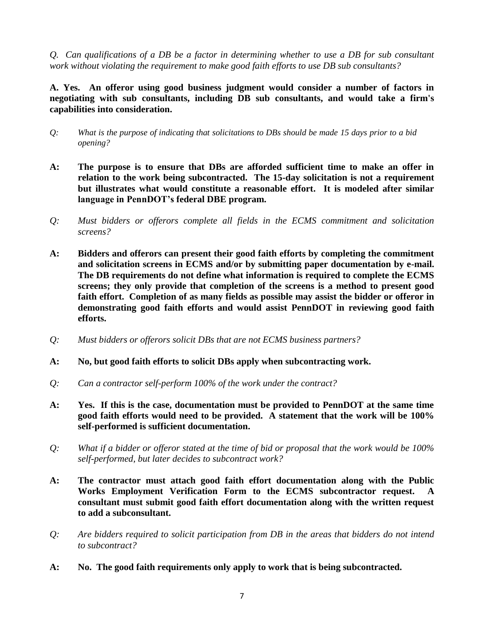*Q. Can qualifications of a DB be a factor in determining whether to use a DB for sub consultant work without violating the requirement to make good faith efforts to use DB sub consultants?*

**A. Yes. An offeror using good business judgment would consider a number of factors in negotiating with sub consultants, including DB sub consultants, and would take a firm's capabilities into consideration.** 

- *Q: What is the purpose of indicating that solicitations to DBs should be made 15 days prior to a bid opening?*
- **A: The purpose is to ensure that DBs are afforded sufficient time to make an offer in relation to the work being subcontracted. The 15-day solicitation is not a requirement but illustrates what would constitute a reasonable effort. It is modeled after similar language in PennDOT's federal DBE program.**
- *Q: Must bidders or offerors complete all fields in the ECMS commitment and solicitation screens?*
- **A: Bidders and offerors can present their good faith efforts by completing the commitment and solicitation screens in ECMS and/or by submitting paper documentation by e-mail. The DB requirements do not define what information is required to complete the ECMS screens; they only provide that completion of the screens is a method to present good faith effort. Completion of as many fields as possible may assist the bidder or offeror in demonstrating good faith efforts and would assist PennDOT in reviewing good faith efforts.**
- *Q: Must bidders or offerors solicit DBs that are not ECMS business partners?*
- **A: No, but good faith efforts to solicit DBs apply when subcontracting work.**
- *Q: Can a contractor self-perform 100% of the work under the contract?*
- **A: Yes. If this is the case, documentation must be provided to PennDOT at the same time good faith efforts would need to be provided. A statement that the work will be 100% self-performed is sufficient documentation.**
- *Q: What if a bidder or offeror stated at the time of bid or proposal that the work would be 100% self-performed, but later decides to subcontract work?*
- **A: The contractor must attach good faith effort documentation along with the Public Works Employment Verification Form to the ECMS subcontractor request. A consultant must submit good faith effort documentation along with the written request to add a subconsultant.**
- *Q: Are bidders required to solicit participation from DB in the areas that bidders do not intend to subcontract?*
- **A: No. The good faith requirements only apply to work that is being subcontracted.**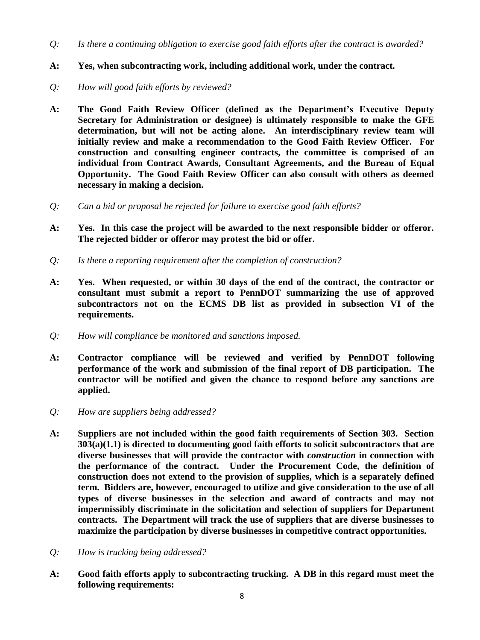- *Q: Is there a continuing obligation to exercise good faith efforts after the contract is awarded?*
- **A: Yes, when subcontracting work, including additional work, under the contract.**
- *Q: How will good faith efforts by reviewed?*
- **A: The Good Faith Review Officer (defined as the Department's Executive Deputy Secretary for Administration or designee) is ultimately responsible to make the GFE determination, but will not be acting alone. An interdisciplinary review team will initially review and make a recommendation to the Good Faith Review Officer. For construction and consulting engineer contracts, the committee is comprised of an individual from Contract Awards, Consultant Agreements, and the Bureau of Equal Opportunity. The Good Faith Review Officer can also consult with others as deemed necessary in making a decision.**
- *Q: Can a bid or proposal be rejected for failure to exercise good faith efforts?*
- **A: Yes. In this case the project will be awarded to the next responsible bidder or offeror. The rejected bidder or offeror may protest the bid or offer.**
- *Q: Is there a reporting requirement after the completion of construction?*
- **A: Yes. When requested, or within 30 days of the end of the contract, the contractor or consultant must submit a report to PennDOT summarizing the use of approved subcontractors not on the ECMS DB list as provided in subsection VI of the requirements.**
- *Q: How will compliance be monitored and sanctions imposed.*
- **A: Contractor compliance will be reviewed and verified by PennDOT following performance of the work and submission of the final report of DB participation. The contractor will be notified and given the chance to respond before any sanctions are applied.**
- *Q: How are suppliers being addressed?*
- **A: Suppliers are not included within the good faith requirements of Section 303. Section 303(a)(1.1) is directed to documenting good faith efforts to solicit subcontractors that are diverse businesses that will provide the contractor with** *construction* **in connection with the performance of the contract. Under the Procurement Code, the definition of construction does not extend to the provision of supplies, which is a separately defined term. Bidders are, however, encouraged to utilize and give consideration to the use of all types of diverse businesses in the selection and award of contracts and may not impermissibly discriminate in the solicitation and selection of suppliers for Department contracts. The Department will track the use of suppliers that are diverse businesses to maximize the participation by diverse businesses in competitive contract opportunities.**
- *Q: How is trucking being addressed?*
- **A: Good faith efforts apply to subcontracting trucking. A DB in this regard must meet the following requirements:**